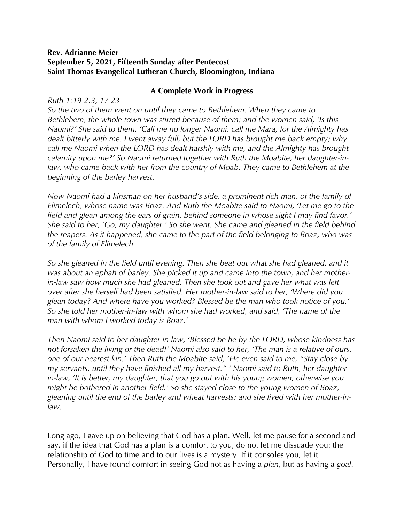## **Rev. Adrianne Meier September 5, 2021, Fifteenth Sunday after Pentecost Saint Thomas Evangelical Lutheran Church, Bloomington, Indiana**

## **A Complete Work in Progress**

## *Ruth 1:19-2:3, 17-23*

*So the two of them went on until they came to Bethlehem. When they came to Bethlehem, the whole town was stirred because of them; and the women said, 'Is this Naomi?' She said to them, 'Call me no longer Naomi, call me Mara, for the Almighty has dealt bitterly with me. I went away full, but the LORD has brought me back empty; why call me Naomi when the LORD has dealt harshly with me, and the Almighty has brought calamity upon me?' So Naomi returned together with Ruth the Moabite, her daughter-inlaw, who came back with her from the country of Moab. They came to Bethlehem at the beginning of the barley harvest.* 

*Now Naomi had a kinsman on her husband's side, a prominent rich man, of the family of Elimelech, whose name was Boaz. And Ruth the Moabite said to Naomi, 'Let me go to the field and glean among the ears of grain, behind someone in whose sight I may find favor.' She said to her, 'Go, my daughter.' So she went. She came and gleaned in the field behind the reapers. As it happened, she came to the part of the field belonging to Boaz, who was of the family of Elimelech.* 

*So she gleaned in the field until evening. Then she beat out what she had gleaned, and it was about an ephah of barley. She picked it up and came into the town, and her mother*in-law saw how much she had gleaned. Then she took out and gave her what was left *over after she herself had been satisfied. Her mother-in-law said to her, 'Where did you glean today? And where have you worked? Blessed be the man who took notice of you.' So she told her mother-in-law with whom she had worked, and said, 'The name of the man with whom I worked today is Boaz.'* 

*Then Naomi said to her daughter-in-law, 'Blessed be he by the LORD, whose kindness has not forsaken the living or the dead!' Naomi also said to her, 'The man is a relative of ours, one of our nearest kin.' Then Ruth the Moabite said, 'He even said to me, "Stay close by my servants, until they have finished all my harvest." ' Naomi said to Ruth, her daughterin-law, 'It is better, my daughter, that you go out with his young women, otherwise you might be bothered in another field.' So she stayed close to the young women of Boaz, gleaning until the end of the barley and wheat harvests; and she lived with her mother-inlaw.* 

Long ago, I gave up on believing that God has a plan. Well, let me pause for a second and say, if the idea that God has a plan is a comfort to you, do not let me dissuade you: the relationship of God to time and to our lives is a mystery. If it consoles you, let it. Personally, I have found comfort in seeing God not as having a *plan*, but as having a *goal*.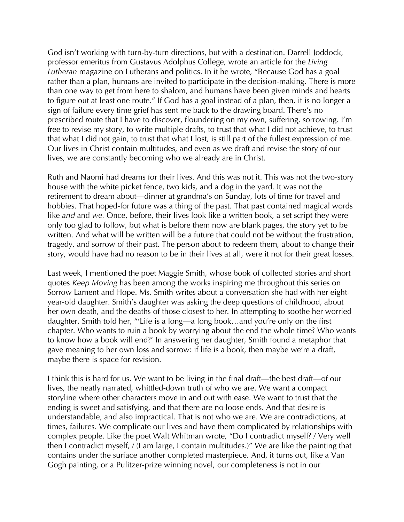God isn't working with turn-by-turn directions, but with a destination. Darrell Joddock, professor emeritus from Gustavus Adolphus College, wrote an article for the *Living Lutheran* magazine on Lutherans and politics. In it he wrote, "Because God has a goal rather than a plan, humans are invited to participate in the decision-making. There is more than one way to get from here to shalom, and humans have been given minds and hearts to figure out at least one route." If God has a goal instead of a plan, then, it is no longer a sign of failure every time grief has sent me back to the drawing board. There's no prescribed route that I have to discover, floundering on my own, suffering, sorrowing. I'm free to revise my story, to write multiple drafts, to trust that what I did not achieve, to trust that what I did not gain, to trust that what I lost, is still part of the fullest expression of me. Our lives in Christ contain multitudes, and even as we draft and revise the story of our lives, we are constantly becoming who we already are in Christ.

Ruth and Naomi had dreams for their lives. And this was not it. This was not the two-story house with the white picket fence, two kids, and a dog in the yard. It was not the retirement to dream about—dinner at grandma's on Sunday, lots of time for travel and hobbies. That hoped-for future was a thing of the past. That past contained magical words like *and* and *we.* Once, before, their lives look like a written book, a set script they were only too glad to follow, but what is before them now are blank pages, the story yet to be written. And what will be written will be a future that could not be without the frustration, tragedy, and sorrow of their past. The person about to redeem them, about to change their story, would have had no reason to be in their lives at all, were it not for their great losses.

Last week, I mentioned the poet Maggie Smith, whose book of collected stories and short quotes *Keep Moving* has been among the works inspiring me throughout this series on Sorrow Lament and Hope. Ms. Smith writes about a conversation she had with her eightyear-old daughter. Smith's daughter was asking the deep questions of childhood, about her own death, and the deaths of those closest to her. In attempting to soothe her worried daughter, Smith told her, "'Life is a long—a long book…and you're only on the first chapter. Who wants to ruin a book by worrying about the end the whole time? Who wants to know how a book will end?' In answering her daughter, Smith found a metaphor that gave meaning to her own loss and sorrow: if life is a book, then maybe we're a draft, maybe there is space for revision.

I think this is hard for us. We want to be living in the final draft—the best draft—of our lives, the neatly narrated, whittled-down truth of who we are. We want a compact storyline where other characters move in and out with ease. We want to trust that the ending is sweet and satisfying, and that there are no loose ends. And that desire is understandable, and also impractical. That is not who we are. We are contradictions, at times, failures. We complicate our lives and have them complicated by relationships with complex people. Like the poet Walt Whitman wrote, "Do I contradict myself? / Very well then I contradict myself, / (I am large, I contain multitudes.)" We are like the painting that contains under the surface another completed masterpiece. And, it turns out, like a Van Gogh painting, or a Pulitzer-prize winning novel, our completeness is not in our